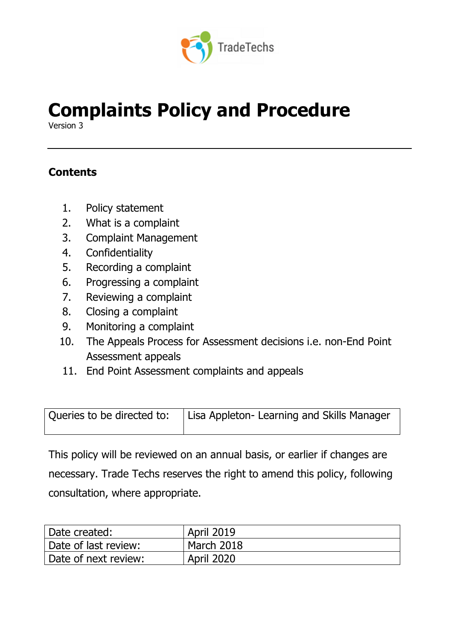

# **Complaints Policy and Procedure**

Version 3

## **Contents**

- 1. Policy statement
- 2. What is a complaint
- 3. Complaint Management
- 4. Confidentiality
- 5. Recording a complaint
- 6. Progressing a complaint
- 7. Reviewing a complaint
- 8. Closing a complaint
- 9. Monitoring a complaint
- 10. The Appeals Process for Assessment decisions i.e. non-End Point Assessment appeals
- 11. End Point Assessment complaints and appeals

| Queries to be directed to: | Lisa Appleton- Learning and Skills Manager |
|----------------------------|--------------------------------------------|
|                            |                                            |

This policy will be reviewed on an annual basis, or earlier if changes are necessary. Trade Techs reserves the right to amend this policy, following consultation, where appropriate.

| Date created:         | <b>April 2019</b> |
|-----------------------|-------------------|
| Date of last review:  | March 2018        |
| 'Date of next review: | <b>April 2020</b> |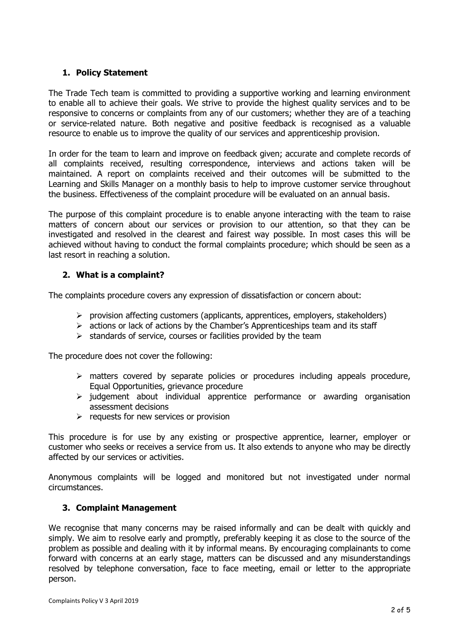#### **1. Policy Statement**

The Trade Tech team is committed to providing a supportive working and learning environment to enable all to achieve their goals. We strive to provide the highest quality services and to be responsive to concerns or complaints from any of our customers; whether they are of a teaching or service-related nature. Both negative and positive feedback is recognised as a valuable resource to enable us to improve the quality of our services and apprenticeship provision.

In order for the team to learn and improve on feedback given; accurate and complete records of all complaints received, resulting correspondence, interviews and actions taken will be maintained. A report on complaints received and their outcomes will be submitted to the Learning and Skills Manager on a monthly basis to help to improve customer service throughout the business. Effectiveness of the complaint procedure will be evaluated on an annual basis.

The purpose of this complaint procedure is to enable anyone interacting with the team to raise matters of concern about our services or provision to our attention, so that they can be investigated and resolved in the clearest and fairest way possible. In most cases this will be achieved without having to conduct the formal complaints procedure; which should be seen as a last resort in reaching a solution.

#### **2. What is a complaint?**

The complaints procedure covers any expression of dissatisfaction or concern about:

- ➢ provision affecting customers (applicants, apprentices, employers, stakeholders)
- $\triangleright$  actions or lack of actions by the Chamber's Apprenticeships team and its staff
- $\triangleright$  standards of service, courses or facilities provided by the team

The procedure does not cover the following:

- ➢ matters covered by separate policies or procedures including appeals procedure, Equal Opportunities, grievance procedure
- ➢ judgement about individual apprentice performance or awarding organisation assessment decisions
- $\triangleright$  requests for new services or provision

This procedure is for use by any existing or prospective apprentice, learner, employer or customer who seeks or receives a service from us. It also extends to anyone who may be directly affected by our services or activities.

Anonymous complaints will be logged and monitored but not investigated under normal circumstances.

#### **3. Complaint Management**

We recognise that many concerns may be raised informally and can be dealt with quickly and simply. We aim to resolve early and promptly, preferably keeping it as close to the source of the problem as possible and dealing with it by informal means. By encouraging complainants to come forward with concerns at an early stage, matters can be discussed and any misunderstandings resolved by telephone conversation, face to face meeting, email or letter to the appropriate person.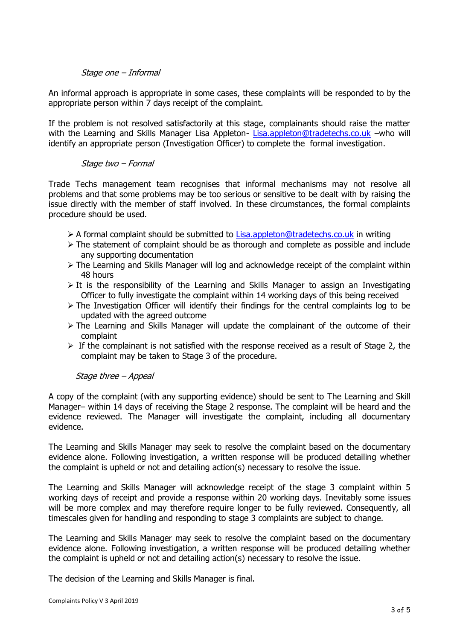#### Stage one – Informal

An informal approach is appropriate in some cases, these complaints will be responded to by the appropriate person within 7 days receipt of the complaint.

If the problem is not resolved satisfactorily at this stage, complainants should raise the matter with the Learning and Skills Manager Lisa Appleton- [Lisa.appleton@tradetechs.co.uk](mailto:Lisa.appleton@tradetechs.co.uk) –who will identify an appropriate person (Investigation Officer) to complete the formal investigation.

#### Stage two – Formal

Trade Techs management team recognises that informal mechanisms may not resolve all problems and that some problems may be too serious or sensitive to be dealt with by raising the issue directly with the member of staff involved. In these circumstances, the formal complaints procedure should be used.

- $\triangleright$  A formal complaint should be submitted to [Lisa.appleton@tradetechs.co.uk](mailto:Lisa.appleton@tradetechs.co.uk) in writing
- ➢ The statement of complaint should be as thorough and complete as possible and include any supporting documentation
- ➢ The Learning and Skills Manager will log and acknowledge receipt of the complaint within 48 hours
- $\triangleright$  It is the responsibility of the Learning and Skills Manager to assign an Investigating Officer to fully investigate the complaint within 14 working days of this being received
- ➢ The Investigation Officer will identify their findings for the central complaints log to be updated with the agreed outcome
- ➢ The Learning and Skills Manager will update the complainant of the outcome of their complaint
- $\triangleright$  If the complainant is not satisfied with the response received as a result of Stage 2, the complaint may be taken to Stage 3 of the procedure.

#### Stage three – Appeal

A copy of the complaint (with any supporting evidence) should be sent to The Learning and Skill Manager– within 14 days of receiving the Stage 2 response. The complaint will be heard and the evidence reviewed. The Manager will investigate the complaint, including all documentary evidence.

The Learning and Skills Manager may seek to resolve the complaint based on the documentary evidence alone. Following investigation, a written response will be produced detailing whether the complaint is upheld or not and detailing action(s) necessary to resolve the issue.

The Learning and Skills Manager will acknowledge receipt of the stage 3 complaint within 5 working days of receipt and provide a response within 20 working days. Inevitably some issues will be more complex and may therefore require longer to be fully reviewed. Consequently, all timescales given for handling and responding to stage 3 complaints are subject to change.

The Learning and Skills Manager may seek to resolve the complaint based on the documentary evidence alone. Following investigation, a written response will be produced detailing whether the complaint is upheld or not and detailing action(s) necessary to resolve the issue.

The decision of the Learning and Skills Manager is final.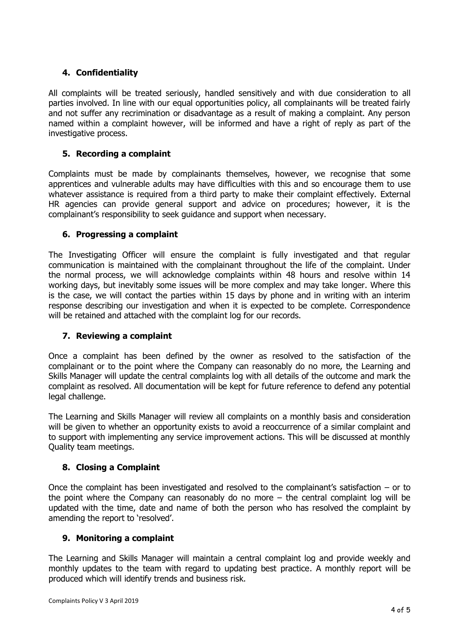#### **4. Confidentiality**

All complaints will be treated seriously, handled sensitively and with due consideration to all parties involved. In line with our equal opportunities policy, all complainants will be treated fairly and not suffer any recrimination or disadvantage as a result of making a complaint. Any person named within a complaint however, will be informed and have a right of reply as part of the investigative process.

#### **5. Recording a complaint**

Complaints must be made by complainants themselves, however, we recognise that some apprentices and vulnerable adults may have difficulties with this and so encourage them to use whatever assistance is required from a third party to make their complaint effectively. External HR agencies can provide general support and advice on procedures; however, it is the complainant's responsibility to seek guidance and support when necessary.

#### **6. Progressing a complaint**

The Investigating Officer will ensure the complaint is fully investigated and that regular communication is maintained with the complainant throughout the life of the complaint. Under the normal process, we will acknowledge complaints within 48 hours and resolve within 14 working days, but inevitably some issues will be more complex and may take longer. Where this is the case, we will contact the parties within 15 days by phone and in writing with an interim response describing our investigation and when it is expected to be complete. Correspondence will be retained and attached with the complaint log for our records.

#### **7. Reviewing a complaint**

Once a complaint has been defined by the owner as resolved to the satisfaction of the complainant or to the point where the Company can reasonably do no more, the Learning and Skills Manager will update the central complaints log with all details of the outcome and mark the complaint as resolved. All documentation will be kept for future reference to defend any potential legal challenge.

The Learning and Skills Manager will review all complaints on a monthly basis and consideration will be given to whether an opportunity exists to avoid a reoccurrence of a similar complaint and to support with implementing any service improvement actions. This will be discussed at monthly Quality team meetings.

#### **8. Closing a Complaint**

Once the complaint has been investigated and resolved to the complainant's satisfaction  $-$  or to the point where the Company can reasonably do no more – the central complaint log will be updated with the time, date and name of both the person who has resolved the complaint by amending the report to 'resolved'.

#### **9. Monitoring a complaint**

The Learning and Skills Manager will maintain a central complaint log and provide weekly and monthly updates to the team with regard to updating best practice. A monthly report will be produced which will identify trends and business risk.